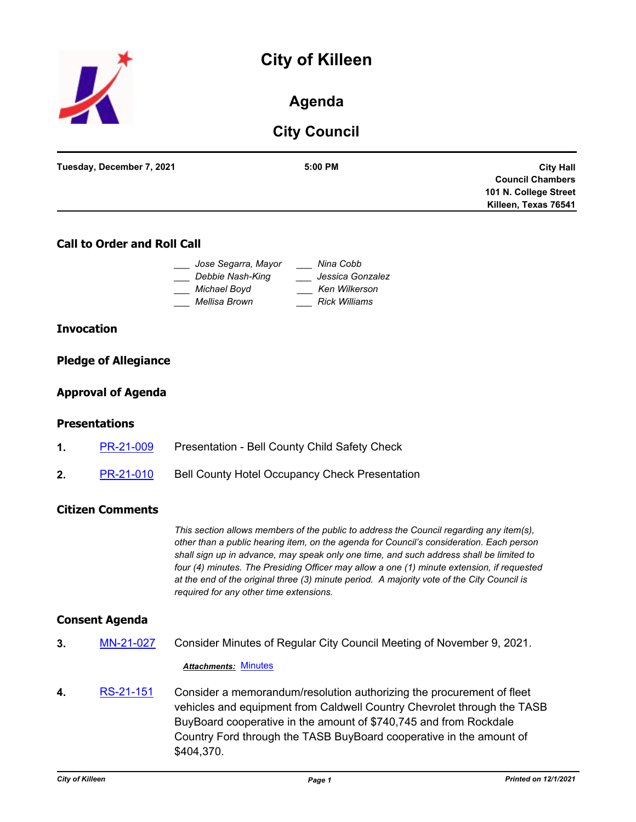



# **Agenda**

# **City Council**

| Tuesday, December 7, 2021 | 5:00 PM | <b>City Hall</b>        |
|---------------------------|---------|-------------------------|
|                           |         |                         |
|                           |         | <b>Council Chambers</b> |
|                           |         | 101 N. College Street   |
|                           |         | Killeen, Texas 76541    |
|                           |         |                         |

# **Call to Order and Roll Call**

| Jose Segarra, Mayor | Nina Cobb            |
|---------------------|----------------------|
| Debbie Nash-King    | Jessica Gonzalez     |
| Michael Boyd        | Ken Wilkerson        |
| Mellisa Brown       | <b>Rick Williams</b> |

## **Invocation**

# **Pledge of Allegiance**

# **Approval of Agenda**

## **Presentations**

- **1.** [PR-21-009](http://killeen.legistar.com/gateway.aspx?m=l&id=/matter.aspx?key=5848) Presentation Bell County Child Safety Check
- 2. [PR-21-010](http://killeen.legistar.com/gateway.aspx?m=l&id=/matter.aspx?key=5847) Bell County Hotel Occupancy Check Presentation

# **Citizen Comments**

*This section allows members of the public to address the Council regarding any item(s), other than a public hearing item, on the agenda for Council's consideration. Each person shall sign up in advance, may speak only one time, and such address shall be limited to four (4) minutes. The Presiding Officer may allow a one (1) minute extension, if requested at the end of the original three (3) minute period. A majority vote of the City Council is required for any other time extensions.*

## **Consent Agenda**

**3.** [MN-21-027](http://killeen.legistar.com/gateway.aspx?m=l&id=/matter.aspx?key=5786) Consider Minutes of Regular City Council Meeting of November 9, 2021.

#### *Attachments:* [Minutes](http://killeen.legistar.com/gateway.aspx?M=F&ID=d0b3e2fd-fd69-4a03-8678-506e719912f9.pdf)

**4.** [RS-21-151](http://killeen.legistar.com/gateway.aspx?m=l&id=/matter.aspx?key=5791) Consider a memorandum/resolution authorizing the procurement of fleet vehicles and equipment from Caldwell Country Chevrolet through the TASB BuyBoard cooperative in the amount of \$740,745 and from Rockdale Country Ford through the TASB BuyBoard cooperative in the amount of \$404,370.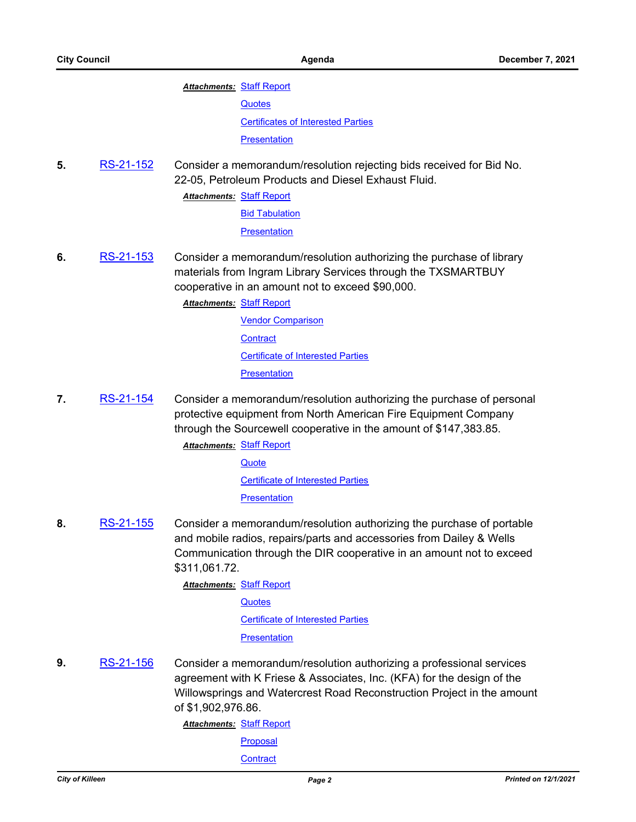#### **Attachments: [Staff Report](http://killeen.legistar.com/gateway.aspx?M=F&ID=d3d7983e-1948-4a00-bb35-08e83615f954.pdf)**

**[Quotes](http://killeen.legistar.com/gateway.aspx?M=F&ID=daa97458-ee46-436c-a69a-8eddb2523fbe.pdf)** 

[Certificates of Interested Parties](http://killeen.legistar.com/gateway.aspx?M=F&ID=15723bb8-6c41-454c-9195-aec2e17d2f18.pdf)

**[Presentation](http://killeen.legistar.com/gateway.aspx?M=F&ID=495c6678-8ba3-46b7-8574-570906b54c94.pdf)** 

**5.** [RS-21-152](http://killeen.legistar.com/gateway.aspx?m=l&id=/matter.aspx?key=5797) Consider a memorandum/resolution rejecting bids received for Bid No. 22-05, Petroleum Products and Diesel Exhaust Fluid.

**Attachments: [Staff Report](http://killeen.legistar.com/gateway.aspx?M=F&ID=7cc7b108-2bca-4267-9c0b-0506624e1747.pdf)** 

[Bid Tabulation](http://killeen.legistar.com/gateway.aspx?M=F&ID=eb23420b-99f8-4511-aec0-e232c8c2b407.pdf)

**[Presentation](http://killeen.legistar.com/gateway.aspx?M=F&ID=81c1ae4a-d4cb-4442-bf09-2fb229c3d1e1.pdf)** 

- **6.** [RS-21-153](http://killeen.legistar.com/gateway.aspx?m=l&id=/matter.aspx?key=5778) Consider a memorandum/resolution authorizing the purchase of library materials from Ingram Library Services through the TXSMARTBUY cooperative in an amount not to exceed \$90,000.
	- [Staff Report](http://killeen.legistar.com/gateway.aspx?M=F&ID=5b400ace-5a34-4c2d-ad11-3c13f152f22a.pdf) *Attachments:*
		- [Vendor Comparison](http://killeen.legistar.com/gateway.aspx?M=F&ID=3ab2de1b-2801-47c7-a0a8-b014e6c3542d.pdf) **[Contract](http://killeen.legistar.com/gateway.aspx?M=F&ID=f819edc6-9e1d-44a2-a3b7-68a058410a89.pdf)** [Certificate of Interested Parties](http://killeen.legistar.com/gateway.aspx?M=F&ID=b9c18981-ec3f-4e5e-bd7a-f25d0e18e739.pdf) **[Presentation](http://killeen.legistar.com/gateway.aspx?M=F&ID=357c5b52-f4f4-4bb4-ab01-4d141f890574.pdf)**
- **7.** [RS-21-154](http://killeen.legistar.com/gateway.aspx?m=l&id=/matter.aspx?key=5787) Consider a memorandum/resolution authorizing the purchase of personal protective equipment from North American Fire Equipment Company through the Sourcewell cooperative in the amount of \$147,383.85.

**Attachments: [Staff Report](http://killeen.legistar.com/gateway.aspx?M=F&ID=a9fcb068-89d4-4c44-b34a-871471f83573.pdf) [Quote](http://killeen.legistar.com/gateway.aspx?M=F&ID=20fe1757-049a-495d-84fd-32792e0e8ceb.pdf)** [Certificate of Interested Parties](http://killeen.legistar.com/gateway.aspx?M=F&ID=74add2c4-38fb-46db-9dd8-56ffdc10d456.pdf) **[Presentation](http://killeen.legistar.com/gateway.aspx?M=F&ID=7f79dc88-1b1a-4b38-a88e-0cec9ed807da.pdf)** 

**8.** [RS-21-155](http://killeen.legistar.com/gateway.aspx?m=l&id=/matter.aspx?key=5799) Consider a memorandum/resolution authorizing the purchase of portable and mobile radios, repairs/parts and accessories from Dailey & Wells Communication through the DIR cooperative in an amount not to exceed \$311,061.72.

> **Attachments: [Staff Report](http://killeen.legistar.com/gateway.aspx?M=F&ID=e4044c48-4df5-403d-8ba1-e9c880429dfc.pdf) [Quotes](http://killeen.legistar.com/gateway.aspx?M=F&ID=2f9618f0-4f4d-48b3-aeb0-d7ce62c47fa9.pdf)** [Certificate of Interested Parties](http://killeen.legistar.com/gateway.aspx?M=F&ID=9b337ad8-afb2-47e4-98d6-52fc0bfe9fe2.pdf) **[Presentation](http://killeen.legistar.com/gateway.aspx?M=F&ID=a48566d1-7fdf-4d9e-95e0-ab5d613e7861.pdf)**

**9.** [RS-21-156](http://killeen.legistar.com/gateway.aspx?m=l&id=/matter.aspx?key=5783) Consider a memorandum/resolution authorizing a professional services agreement with K Friese & Associates, Inc. (KFA) for the design of the Willowsprings and Watercrest Road Reconstruction Project in the amount of \$1,902,976.86.

[Staff Report](http://killeen.legistar.com/gateway.aspx?M=F&ID=6435d19c-24aa-4bff-a16d-bc60ca44397c.pdf) *Attachments:*

**[Proposal](http://killeen.legistar.com/gateway.aspx?M=F&ID=514f6df0-0b2c-41dc-a26b-47cfb95cede9.pdf)** 

**[Contract](http://killeen.legistar.com/gateway.aspx?M=F&ID=e8abf219-3df0-49a5-b11f-12db1dab758c.pdf)**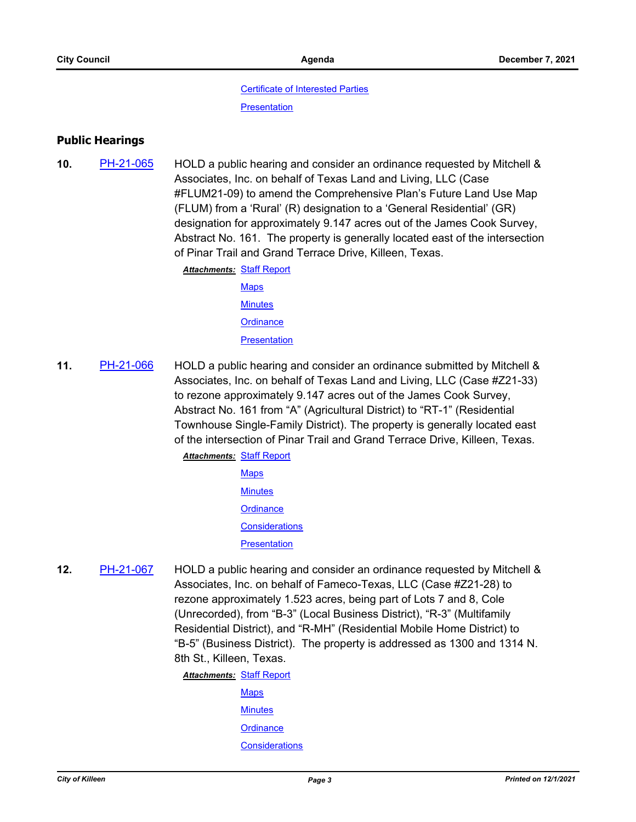#### [Certificate of Interested Parties](http://killeen.legistar.com/gateway.aspx?M=F&ID=9c5cb4cf-03ea-421f-ac1f-ab7d3fd91ce9.pdf)

**[Presentation](http://killeen.legistar.com/gateway.aspx?M=F&ID=adbf053a-a09d-4905-b749-b808f5dbfa26.pdf)** 

### **Public Hearings**

- **10.** [PH-21-065](http://killeen.legistar.com/gateway.aspx?m=l&id=/matter.aspx?key=5790) HOLD a public hearing and consider an ordinance requested by Mitchell & Associates, Inc. on behalf of Texas Land and Living, LLC (Case #FLUM21-09) to amend the Comprehensive Plan's Future Land Use Map (FLUM) from a 'Rural' (R) designation to a 'General Residential' (GR) designation for approximately 9.147 acres out of the James Cook Survey, Abstract No. 161. The property is generally located east of the intersection of Pinar Trail and Grand Terrace Drive, Killeen, Texas.
	- **Attachments: [Staff Report](http://killeen.legistar.com/gateway.aspx?M=F&ID=e1793750-bddb-4ee8-b399-9b99e16a6603.pdf)** 
		- [Maps](http://killeen.legistar.com/gateway.aspx?M=F&ID=2d75521c-0609-4738-b155-792a5ad30590.pdf) **[Minutes](http://killeen.legistar.com/gateway.aspx?M=F&ID=2f912324-00a9-40f4-8e04-245d8b6c08dc.pdf) [Ordinance](http://killeen.legistar.com/gateway.aspx?M=F&ID=0b8b2c8d-6114-46b3-b1df-f97382588c16.pdf)**

**[Presentation](http://killeen.legistar.com/gateway.aspx?M=F&ID=1d570017-5b90-443e-ba1d-2a67afcc9fd7.pdf)** 

- **11.** [PH-21-066](http://killeen.legistar.com/gateway.aspx?m=l&id=/matter.aspx?key=5643) HOLD a public hearing and consider an ordinance submitted by Mitchell & Associates, Inc. on behalf of Texas Land and Living, LLC (Case #Z21-33) to rezone approximately 9.147 acres out of the James Cook Survey, Abstract No. 161 from "A" (Agricultural District) to "RT-1" (Residential Townhouse Single-Family District). The property is generally located east of the intersection of Pinar Trail and Grand Terrace Drive, Killeen, Texas.
	- **Attachments: [Staff Report](http://killeen.legistar.com/gateway.aspx?M=F&ID=1fda0dea-d313-4cc3-ad5b-0cd3c9193342.pdf) [Maps](http://killeen.legistar.com/gateway.aspx?M=F&ID=f020ac74-7cc3-419b-9eda-0ffbde6d4069.pdf) [Minutes](http://killeen.legistar.com/gateway.aspx?M=F&ID=3f222ef9-cbae-4408-ab99-cab90090358c.pdf) [Ordinance](http://killeen.legistar.com/gateway.aspx?M=F&ID=de884beb-bf36-4dec-89bd-63b655004f6a.pdf) [Considerations](http://killeen.legistar.com/gateway.aspx?M=F&ID=5317e430-b2f2-4b1c-8b9b-79f5d4178347.pdf) [Presentation](http://killeen.legistar.com/gateway.aspx?M=F&ID=52714155-add8-408f-9d30-05a20b2bed07.pdf)**
- **12.** [PH-21-067](http://killeen.legistar.com/gateway.aspx?m=l&id=/matter.aspx?key=5731) HOLD a public hearing and consider an ordinance requested by Mitchell & Associates, Inc. on behalf of Fameco-Texas, LLC (Case #Z21-28) to rezone approximately 1.523 acres, being part of Lots 7 and 8, Cole (Unrecorded), from "B-3" (Local Business District), "R-3" (Multifamily Residential District), and "R-MH" (Residential Mobile Home District) to "B-5" (Business District). The property is addressed as 1300 and 1314 N. 8th St., Killeen, Texas.

**Attachments: [Staff Report](http://killeen.legistar.com/gateway.aspx?M=F&ID=b93051fd-376b-4293-8ff4-852946e5bb73.pdf)** 

[Maps](http://killeen.legistar.com/gateway.aspx?M=F&ID=7bc1ea23-72c4-4705-a8b4-e7241dfed1d3.pdf) **[Minutes](http://killeen.legistar.com/gateway.aspx?M=F&ID=6923cd85-3afd-47f3-b81a-7a8239cdd11d.pdf) [Ordinance](http://killeen.legistar.com/gateway.aspx?M=F&ID=14fbb55d-8569-431e-9eec-c931f9a7af3c.pdf) [Considerations](http://killeen.legistar.com/gateway.aspx?M=F&ID=a9de9ffc-4305-4bdb-b633-1fdca420c962.pdf)**